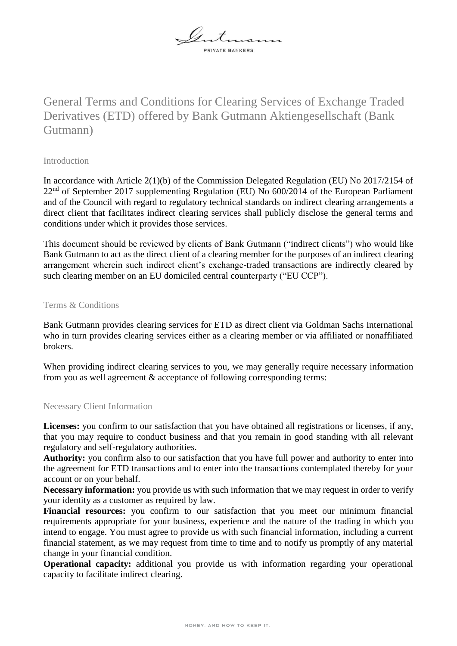

# General Terms and Conditions for Clearing Services of Exchange Traded Derivatives (ETD) offered by Bank Gutmann Aktiengesellschaft (Bank Gutmann)

## Introduction

In accordance with Article 2(1)(b) of the Commission Delegated Regulation (EU) No 2017/2154 of  $22<sup>nd</sup>$  of September 2017 supplementing Regulation (EU) No 600/2014 of the European Parliament and of the Council with regard to regulatory technical standards on indirect clearing arrangements a direct client that facilitates indirect clearing services shall publicly disclose the general terms and conditions under which it provides those services.

This document should be reviewed by clients of Bank Gutmann ("indirect clients") who would like Bank Gutmann to act as the direct client of a clearing member for the purposes of an indirect clearing arrangement wherein such indirect client's exchange-traded transactions are indirectly cleared by such clearing member on an EU domiciled central counterparty ("EU CCP").

### Terms & Conditions

Bank Gutmann provides clearing services for ETD as direct client via Goldman Sachs International who in turn provides clearing services either as a clearing member or via affiliated or nonaffiliated brokers.

When providing indirect clearing services to you, we may generally require necessary information from you as well agreement & acceptance of following corresponding terms:

### Necessary Client Information

Licenses: you confirm to our satisfaction that you have obtained all registrations or licenses, if any, that you may require to conduct business and that you remain in good standing with all relevant regulatory and self-regulatory authorities.

**Authority:** you confirm also to our satisfaction that you have full power and authority to enter into the agreement for ETD transactions and to enter into the transactions contemplated thereby for your account or on your behalf.

**Necessary information:** you provide us with such information that we may request in order to verify your identity as a customer as required by law.

**Financial resources:** you confirm to our satisfaction that you meet our minimum financial requirements appropriate for your business, experience and the nature of the trading in which you intend to engage. You must agree to provide us with such financial information, including a current financial statement, as we may request from time to time and to notify us promptly of any material change in your financial condition.

**Operational capacity:** additional you provide us with information regarding your operational capacity to facilitate indirect clearing.